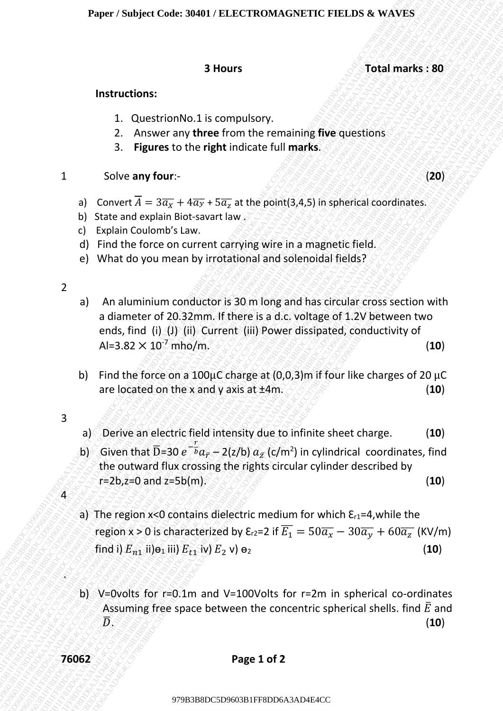**3 Hours Total marks : 80**

### **Instructions:**

- 1. QuestrionNo.1 is compulsory.
- 2. Answer any **three** from the remaining **five** questions
- 3. **Figures** to the **right** indicate full **marks**.

## **1** Solve any four:- (*b) and the contract of the contract of the contract of the contract of the contract of the contract of the contract of the contract of the contract of the contract of the contract of the contract of*

- a) Convert  $\overline{A} = 3\overline{\alpha_{\overline{X}}} + 4\overline{\alpha_{\overline{Y}}} + 5\overline{\alpha_{\overline{z}}}$  at the point(3,4,5) in spherical coordinates.
- b) State and explain Biot-savart law
- c) Explain Coulomb's Law.
- d) Find the force on current carrying wire in a magnetic field.
- e) What do you mean by irrotational and solenoidal fields?

2

- Paper 7 Sadjest Code: 30801 / ELECTRON ASSNETIC PIELDS & WAVES<br>
3 Hours<br>
3 Hours<br>
3 Hours<br>
3 Total marks : 80<br>
5 Total marks : 80<br>
10 Convert and the proper content in recommending the guestions<br>
3. Pigures to the right i Puper / Subject Code: 39801 / TELECTROMAGNETIC FIRELING RS<br>
1980 Trial marks 380<br>
1980 Trial marks 380<br>
1980 Trial marks 380<br>
1980 Trial marks 380<br>
1980 Trial marks 200 Trial marks 1990 Trial marks 1990<br>
1980 Trial marks Paper / Snalper Code: Welti / FELECTROMAGNETIC FIELDS & WAVES<br>
3 Hours<br>
3 Hours<br>
2 Advance unit the right indicate full marks.<br>
2 Advance unit the right indicate full marks.<br>
3 Eignere to the right indicate full marks.<br>
1 Paper / Subject Code 3049 (FELECTROMAGNETIC FIELDS & WAVES<br>
3 Hours<br>
1 Total marks : 80<br>
1 Total marks : 80<br>
1 Total marks : 80<br>
1 Total marks is 00<br>
1 Total marks in the firm the firm there is mainly after generation.<br>
3 **Paper / Subject Code: 30491/ ELECTRONIACNETIC FIELIS & WAVEs**<br>
3 Hours<br>
1 Constrolled Lib correlation provides provides the specifications<br>
2. Anomor any three from the remaining flue questions<br>
3. Figures to the right i Paper / Subject Code: J0691 / FLECTBOMACNETIC FTELDs & WAVES<br>
3 Hours<br>
3 Hours<br>
3 Hours<br>
2 Conver any three from the remaining flue questions,<br>
2. Anywer any there from the remaining flue questions,<br>
3 Figure 3 to the rig Paper / Seebject Code: 36491 / File Crisis of Tetal marks : 80<br>
1980 Entranctione:<br>
1980 Entranctione:<br>
1980 Entranctione:<br>
28 Annorrelatione for the registration for emaining five questions<br>
28 AD4 E4T F8D F8D F8D C5D F6 Paper / Seebject Code: 36491 / File Crisis of Tetal marks : 80<br>
1980 Entranctione:<br>
1980 Entranctione:<br>
1980 Entranctione:<br>
28 Annorrelatione for the registration for emaining five questions<br>
28 AD4 E4T F8D F8D F8D C5D F6 Paper / Seebject Code: 36491 / File Crisis of Tetal marks : 80<br>
1980 Entranctione:<br>
1980 Entranctione:<br>
1980 Entranctione:<br>
28 Annorrelatione for the registration for emaining five questions<br>
28 AD4 E4T F8D F8D F8D C5D F6 Paper / Seebject Code: 36491 / File Crisis of Tetal marks : 80<br>
1980 Entranctione:<br>
1980 Entranctione:<br>
1980 Entranctione:<br>
28 Annorrelatione for the registration for emaining five questions<br>
28 AD4 E4T F8D F8D F8D C5D F6 Paper / Seebject Code: 36491 / File Crisis of Tetal marks : 80<br>
1980 Entranctione:<br>
1980 Entranctione:<br>
1980 Entranctione:<br>
28 Annorrelatione for the registration for emaining five questions<br>
28 AD4 E4T F8D F8D F8D C5D F6 Paper / Seebject Code: 36491 / File Crisis of Tetal marks : 80<br>
1980 Entranctione:<br>
1980 Entranctione:<br>
1980 Entranctione:<br>
28 Annorrelatione for the registration for emaining five questions<br>
28 AD4 E4T F8D F8D F8D C5D F6 Paper / Seebject Code: 36491 / File Crisis of Tetal marks : 80<br>
1980 Entranctione:<br>
1980 Entranctione:<br>
1980 Entranctione:<br>
28 Annorrelatione for the registration for emaining five questions<br>
28 AD4 E4T F8D F8D F8D C5D F6 Paper / Seebject Code: 36491 / File Crisis of Tetal marks : 80<br>
1980 Entranctione:<br>
1980 Entranctione:<br>
1980 Entranctione:<br>
28 Annorrelatione for the registration for emaining five questions<br>
28 AD4 E4T F8D F8D F8D C5D F6 **Paper: Sobject Code: 30401 / ELECTROMAGNETIC FIELDS & WAVES<br>
3 Hours<br>
3 Hours<br>
3 Hours<br>
2 Coverence form the remaining five questions<br>
3. Figures to the right indicate full marks.<br>
3 Solve any four-<br>
4 Coverence full mar** Paper / Subject Code: 30401 / ELECTRONAGENETIC FIELDS & WAVES<br>
3 Hours (b)<br>
1. Questrion-No. 1 is computeory.<br>
2. Absence may there is converted in marks.<br>
3. Algueres to the right indicate till marks.<br>
1. Solve any four-Paper / Subject Code: 90401 / ELECTROMAGNETIC FIELDS & WAVES<br>
3 Hours<br>
3 Hours<br>
2. Conserve my there from the remaining five questions<br>
2. Eigenes to the right indicate bill marks.<br>
3. Figures to the right indicate bill m **Paper Subject Code: 304017 FELICCTRONAXGNETIC FIELDS & VANES 3<br>
3 Hours 7 Total marks : 80<br>
1 Outert are stress the region to the remaining five questions<br>
2. Anover any there from the remaining five questions<br>
4 To Real Paper / Subject Choice 390312 / BLECC1RONMAGNETIC FRELIME & WAYRS<br>
3 Hours 700 and House from the remating fluie questions<br>
2. Questions below the frequency three from the remating fluie questions<br>
3. Figures to be right** Puper / Subject Code: 30401 / 16136CTROM AGANETIC PREADS & WAVES<br>
3 Hours<br>
2 Alexandro Maximus for the right indicate full marks.<br>
2 Alexandro Maximus for the right indicate full marks.<br>
3 Report  $\overline{A} = 337 + 477 + 377$ , a) An aluminium conductor is 30 m long and has circular cross section with a diameter of 20.32mm. If there is a d.c. voltage of 1.2V between two ends, find (i) (J) (ii) Current (iii) Power dissipated, conductivity of  $A$ l=3.82  $\times$  10<sup>-7</sup> mho/m. (*i*)  $\frac{10}{2}$ 
	- b) Find the force on a 100 $\mu$ C charge at (0,0,3)m if four like charges of 20  $\mu$ C are located on the x and y axis at  $\pm 4m$ .  $\sim$   $\sim$   $\sim$  (10)
	- 3

 $\bf 4$ 

.

- a) Derive an electric field intensity due to infinite sheet charge. (**10**)
- b) Given that  $\bar{D}$ =30  $e^{-\bar{b}}a_{\bar{r}}$  2(z/b)  $a_{\bar{z}}$  (c/m<sup>2</sup>) in cylindrical coordinates, find the outward flux crossing the rights circular cylinder described by  $r=2b$ ,  $z=0$  and  $z=5b(m)$ .  $\leq$   $\leq$   $\leq$   $\leq$   $\leq$   $\leq$   $\leq$   $\leq$   $\leq$   $\leq$   $\leq$   $(10)$ 
	- a) The region  $x < 0$  contains dielectric medium for which  $\varepsilon_{r1} = 4$ , while the region x > 0 is characterized by  $\epsilon_{r2}$ =2 if  $\overline{E_1} = 50\overline{a_x} - 30\overline{a_y} + 60\overline{a_z}$  (KV/m) find i)  $E_{n1}$  ii) $\Theta_1$  iii)  $E_{n1}$  iv)  $E_2$  v)  $\Theta_2$  (10)
	- b) V=0volts for r=0.1m and V=100Volts for r=2m in spherical co-ordinates Assuming free space between the concentric spherical shells. find  $\bar{E}$  and  $\overline{D}$ . Finally,  $\overline{D}$ . (10)

**76062 Page 1 of 2**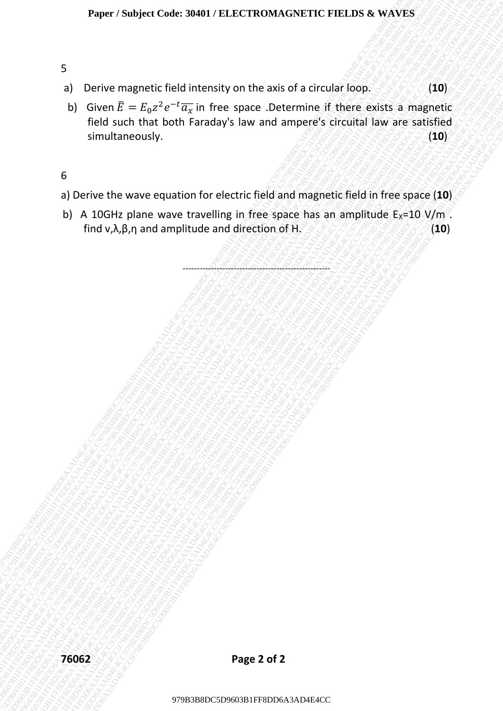## 5

- a) Derive magnetic field intensity on the axis of a circular loop. (**10**)
- Paper 7 Sadject Code: 304017 BLECTRON ASPACTIC PIELDS & WAVES<br>
a) Derive magnetic field intensity on the axis of a circular food.<br>
5) Groen  $E = E_2z^2e^{-2}E_3$  in free space. Determine if there explose satisfied<br>
simultaneou Paper / Starljest Craice 3NHH / ELECCRG/MAXCNETIC FIRELINS & WAVES<br>
3) Derive magnetic field unterstay on the axis of a circular loop.<br>
19 (b) AB6B E = E<sub>x</sub>2+2 <sup>o</sup> CF<sub>8</sub> in the space Determine if there existes a magnetic f 979B3B8DC5D9603B1FF8DD6A3AD4E4CC979B3B8DC5D9603B1FF8DD6A3AD4E4CC979B3B8DC5D9603B1FF8DD6A3AD4E4CC979B3B8DC5D9603B1FF8DD6A3AD4E4CC979B3B8DC5D9603B1FF8DD6A3AD4E4CC979B3B8DC5D9603B1FF8DD6A3AD4E4CC Paper / Subject Code: 30401 / BLECTROMASANETIC FIELDS & WAVES<br>
5<br>
a) Derive magnetic field intensity on the axis of a circular loop.<br>
b) Clearly such that toolst Park and space Desember of CrossRall Wave Society<br>
such tha Paper / Subject Code: 30493 / ELECTRONAGCNETIC FIELDS & WAVES<br>
3<br>
9) Denve magnetic field intensity on the axis of a circular hope<br>
b) Gouel JF - Fig. 2<sup>+</sup> Fe<sup>2</sup> in fect e space the emerger's circular law are satisfied<br>
5 Paper / Sanjoet Code: J9691 / FLECT8D0MACNETIC FIELD 6. WAXES<br>
9<br>
9 Devive magnetic field interesting to the assis of a circular loop.<br>
100)<br>
10 leven  $\frac{1}{2}$  = L<sub>G</sub><sub>2</sub><sup>2</sup> e<sup>2</sup><sub>C</sub> in terms space. December 18 (100)<br>
9 Dev Paper / Sealper Code: 36491 / FILECTROMAGNRTIC FIRILIS & WAVES<br>
9) Derive magnetic field such that both Faruday's law the axis of a circular loop.<br>
19 (bice)  $\frac{1}{2}$  Fig.  $\frac{2}{3}$  CP in fee space to remove if there exis Paper / Sealper Code: 36491 / FILECTROMAGNRTIC FIRILIS & WAVES<br>
9) Derive magnetic field such that both Faruday's law the axis of a circular loop.<br>
19 (bice)  $\frac{1}{2}$  Fig.  $\frac{2}{3}$  CP in fee space to remove if there exis Paper / Sealper Code: 36491 / FILECTROMAGNRTIC FIRILIS & WAVES<br>
9) Derive magnetic field such that both Faruday's law the axis of a circular loop.<br>
19 (bice)  $\frac{1}{2}$  Fig.  $\frac{2}{3}$  CP in fee space to remove if there exis Paper / Sealper Code: 36491 / FILECTROMAGNRTIC FIRILIS & WAVES<br>
9) Derive magnetic field such that both Faruday's law the axis of a circular loop.<br>
19 (bice)  $\frac{1}{2}$  Fig.  $\frac{2}{3}$  CP in fee space to remove if there exis Paper / Sealper Code: 36491 / FILECTROMAGNRTIC FIRILIS & WAVES<br>
9) Derive magnetic field such that both Faruday's law the axis of a circular loop.<br>
19 (bice)  $\frac{1}{2}$  Fig.  $\frac{2}{3}$  CP in fee space to remove if there exis Paper / Sealper Code: 36491 / FILECTROMAGNRTIC FIRILIS & WAVES<br>
9) Derive magnetic field such that both Faruday's law the axis of a circular loop.<br>
19 (bice)  $\frac{1}{2}$  Fig.  $\frac{2}{3}$  CP in fee space to remove if there exis Paper / Sealper Code: 36491 / FILECTROMAGNRTIC FIRILIS & WAVES<br>
9) Derive magnetic field such that both Faruday's law the axis of a circular loop.<br>
19 (bice)  $\frac{1}{2}$  Fig.  $\frac{2}{3}$  CP in fee space to remove if there exis Paper / Sealper Code: 36491 / FILECTROMAGNRTIC FIRILIS & WAVES<br>
9) Derive magnetic field such that both Faruday's law the axis of a circular loop.<br>
19 (bice)  $\frac{1}{2}$  Fig.  $\frac{2}{3}$  CP in fee space to remove if there exis Paper: Sobject Code: 30401 / ELECTROMAGNETIC FIELDS & WAVES<br>
9<br>
9 Derive magnetic field internsity on the axis of a circular lone, exists a magnetic field contributed by the space accomment of their exists a magnetic field Paper / Shulted Code: 804B1 / ELECTROMAGNETIC FRELIOS & WAVES<br>
9. Derive magnetic field infrastry on the axis of a circuitat loop.<br>
1. Biggs also that both Faraday's law and amppec's doctoral law are assimilated<br>
simultan Paper / Saulyed Code: 90401 / ELECTROMAGNETIC ENELDS & WAVES<br>
9<br>
9) Geiven Ragnetic field intensity on the axis of a circular loop.<br>
9) Given Ragnetic field intensity between Determine (fitters exists a magnetic<br>
100 (and Paper Starjett Code: Stoff Jr. H.LECTHONAXGNETIC FIELDS & WAYES<br>
9) Dirtive insignation for the state state and the state and the state and the state and the state and the state and the state and the state and the state a Paper / Statistics Chuie: 39401 / HOLECTRONAXAN-EVETIC PIELINS & WAYES<br>
9<br>
9 Derive magnetic field intensity was and ampleres of there exists a magnetic field intensity.<br>
100 them statistically,<br>
9 Derive the wave equatio Puper / Statiged Code: 39490 / REJSCTROMASNETIC PREASE & WAVES<br>
9<br>
9) Given  $R = R_B x^9 e^{-1} R_B$  in the space Determine if there exists a magnetic<br>
fields actual mati both Faraday's law and ampieres critical law are saided<br>
9) b) Given  $\bar{E} = E_0 z^2 e^{-t} \overline{a_x}$  in free space .Determine if there exists a magnetic field such that both Faraday's law and ampere's circuital law are satisfied **simultaneously.** (*10)*

## 6

- a) Derive the wave equation for electric field and magnetic field in free space (**10**)
- b) A 10GHz plane wave travelling in free space has an amplitude  $E_X=10$  V/m. find v,λ,β,η and amplitude and direction of H. (**10**)

----------------------------------------------------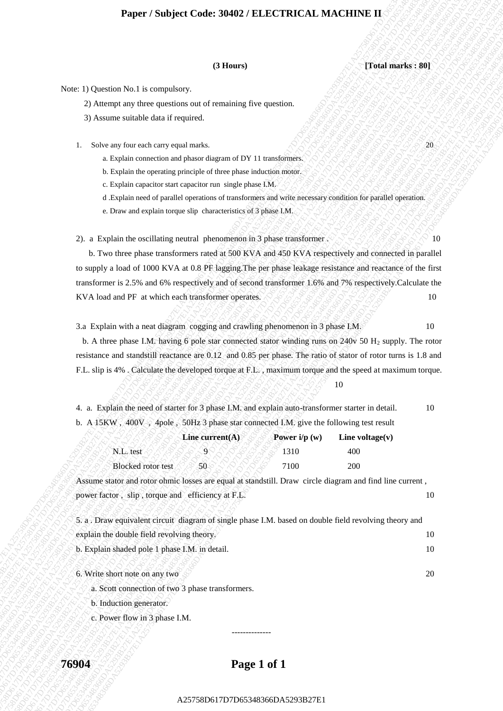### **Paper / Subject Code: 30402 / ELECTRICAL MACHINE II**

**(3 Hours) [Total marks : 80]**

Note: 1) Question No.1 is compulsory.

- 2) Attempt any three questions out of remaining five question.
- 3) Assume suitable data if required.
- 1. Solve any four each carry equal marks.  $\bigotimes_{\mathcal{A}} \bigotimes_{\mathcal{A}} \bigotimes_{\mathcal{A}} \bigotimes_{\mathcal{A}} \bigotimes_{\mathcal{A}} \bigotimes_{\mathcal{A}} \bigotimes_{\mathcal{A}} \bigotimes_{\mathcal{A}} \bigotimes_{\mathcal{A}} \bigotimes_{\mathcal{A}} \bigotimes_{\mathcal{A}} \bigotimes_{\mathcal{A}} \bigotimes_{\mathcal{A}} \bigotimes_{\mathcal{A}} \bigotimes_{\mathcal{A}} \bigotimes_{\mathcal{A}} \big$ 
	- a. Explain connection and phasor diagram of DY 11 transformers.
	- b. Explain the operating principle of three phase induction motor.
	- c. Explain capacitor start capacitor run single phase I.M.
	- d .Explain need of parallel operations of transformers and write necessary condition for parallel operation.
	- e. Draw and explain torque slip characteristics of 3 phase I.M.

2). a Explain the oscillating neutral phenomenon in 3 phase transformer .  $\sqrt{2}$  .  $\sqrt{2}$  .  $\sqrt{2}$  . 10

CD Bases 19<br>
A state as produced and requirements of the specific of the specific of the specific original and requirements.<br>
2. Selection and requirements.<br>
2. Selection and requirements.<br>
2. Selection and requirements o **21386**<br>
Also are the online throughout of the mainling the species.<br>  $\frac{1}{2}$ A3576-17 and a show that it considers the species of the species of the species of the species of the species of the species of the species of O Theory<br>
Also Chemican or Society the Accepteristics of Commission Contents and Commission Commission Commission Commission Commission Commission Commission Commission Commission Commission Commission Commission Commissi A2675 B (A) control War Theorem is a Computery Control of Computer Control of Computer Control of Company Control of Company Control of Company Control of Company Control of Company Control of Company Control of Company **278** Printing Conseque Conservation 2787 The Conservation 278 Democratic 278 Democratic 278 Democratic 278 Democratic 278 Democratic 278 Democratic 278 Democratic 278 Democratic 278 Democratic 278 Democratic 278 Democrat **Experiment Schopes Codes 300427 F.ELECTRICAL MACELINE**<br>
Note 12 October 9: in convention of the main of the main of the main of the main of the main of the main of the main of the main of the main of the main of the main **Paper / Subject Conte 2002 / ELECTRICAL MACHINE III**<br>
A Series 1) (Contended to a series of the contendent of the paper of the contendent of the contendent of the content of the content of the content of the content of t Paper / Subject Code: 26482 / Flares variables of the main of the main of the main of the main of the main of the main of the main of the main of the main of the main of the main of the main of the main of the main of the **Paper / Shirleyet Code: 26382 / F.I. RCTRICAT, MACHINER T1**<br>
25 Denver 2013 a quasi-control and minimization control and minimization control and minimization control and minimization control and minimization control and **Paper / Shirleyet Code: 26382 / F.I. RCTRICAT, MACHINER T1**<br>
25 Denver 2013 a quasi-control and minimization control and minimization control and minimization control and minimization control and minimization control and **Paper / Shirleyet Code: 26382 / F.I. RCTRICAT, MACHINER T1**<br>
25 Denver 2013 a quasi-control and minimization control and minimization control and minimization control and minimization control and minimization control and **Paper / Subject Code: 30482 / ELECTRICAL MACHINE II.**<br>
Note the fluctuation of the complete of complete of complete of the state of the state of the state of the state of the state of the state of the state of the state **Paper / Studyet Code: 30483** / **Thus and / The Constant Constant Constant Constant Constant Constant Constant Constant Constant Constant Constant Constant Constant Constant Constant Constant Constant Constant Constant Co 27987 / Studyet Code 30402 / ELECTRICEAL MACHINEEL (2)**<br>
2018 00: 2018 00: 2018 00: 2018 00: 2018 00: 2018 00: 2018 00: 2018 00: 2018 00: 2018 00: 2018 00: 2018 00: 2018 00: 2018 00: 2018 00: 2018 00: 2018 00: 2018 00: 2 **21**<br> **A2576** Content be 1.8 Computisors, **A25866DA529 Content and Content and Content and Content and Content and Content and Content and Content and Content and Content and Content and Content and Content and Content a Paper / Studynet Code: 30.042 / ELECTRICAL MACHINETER (2)**<br>
2) Arene in the second of the maintain fore context.<br>
2) Arene in the second of the main fore context.<br>
3) Angle in the context of the second of the main fore **C**<br> **A25758**<br>
Note: D. Q. extends No. is compulsed compute the computations of the computations of the computer of the computer of the computer of the computations of the computations of the computations of the computat **Proper / Subject Code: M402 / ELECTRIC AL MACHINNE II**<br>
A256 Di Querdi No Hi is considered and attenuating for agentics.<br>  $\frac{1}{2}$ A256 and the station sequence of the matrix and attenuating for agentics.<br>
L. Solonge for **Paper / Subject Code 30402 / ELECTRIC AL MACHINE II (1)**<br>
A  $\alpha$  -1) Question We is comparison and a consideration of the comparison and the comparison of the comparison of the comparison of the comparison of the compari **Paper / Subject Code: 30402 / ELECTRICAL MACHINE II**<br>
A. Control of the temperature care of revealing throughness.<br>
2) Anamay and the quantum care of revealing throughness.<br>
2) Anamay and the quantum care of revealing th b. Two three phase transformers rated at 500 KVA and 450 KVA respectively and connected in parallel to supply a load of 1000 KVA at 0.8 PF lagging.The per phase leakage resistance and reactance of the first transformer is 2.5% and 6% respectively and of second transformer 1.6% and 7% respectively.Calculate the KVA load and PF at which each transformer operates.  $88888888888$ 

3.a Explain with a neat diagram cogging and crawling phenomenon in 3 phase  $I.M.$  10

b. A three phase I.M. having 6 pole star connected stator winding runs on 240v 50  $H_2$  supply. The rotor resistance and standstill reactance are 0.12 and 0.85 per phase. The ratio of stator of rotor turns is 1.8 and F.L. slip is 4% . Calculate the developed torque at F.L. , maximum torque and the speed at maximum torque.

| ۰.<br>۰. |
|----------|
|----------|

|  |  |  | 4. a. Explain the need of starter for 3 phase I.M. and explain auto-transformer starter in detail.                             | 10 |
|--|--|--|--------------------------------------------------------------------------------------------------------------------------------|----|
|  |  |  | b. A $15\text{KW}$ , $400\text{V}$ , $4\text{pole}$ , $50\text{Hz}$ 3 phase star connected I.M. give the following test result |    |
|  |  |  |                                                                                                                                |    |

|                           | Line current $(A)$ | Power $i/p(w)$ | Line voltage $(v)$ |
|---------------------------|--------------------|----------------|--------------------|
| N.L. test                 |                    | 310            | 400                |
| <b>Blocked</b> rotor test |                    | 7100           | 200                |

Assume stator and rotor ohmic losses are equal at standstill. Draw circle diagram and find line current , power factor, slip, torque and efficiency at F.L. 10

| 5. a. Draw equivalent circuit diagram of single phase I.M. based on double field revolving theory and |    |
|-------------------------------------------------------------------------------------------------------|----|
| explain the double field revolving theory.                                                            | 10 |
| b. Explain shaded pole 1 phase I.M. in detail.                                                        | 10 |

6. Write short note on any two  $\sim$  20

a. Scott connection of two 3 phase transformers.

b. Induction generator.

c. Power flow in 3 phase I.M.

### **76904 Page 1 of 1**

--------------

### A25758D617D7D65348366DA5293B27E1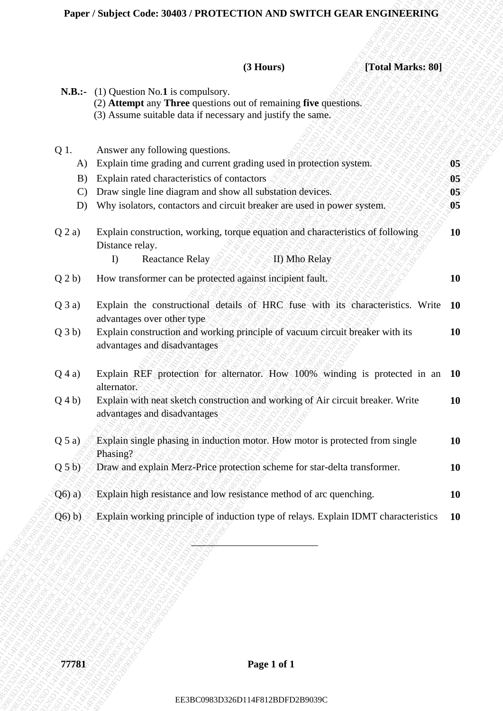## **Paper / Subject Code: 30403 / PROTECTION AND SWITCH GEAR ENGINEERING**

|                     | (3 Hours)<br>[Total Marks: 80]                                                                                                                                        |                      |
|---------------------|-----------------------------------------------------------------------------------------------------------------------------------------------------------------------|----------------------|
| $N.B.:-$            | $(1)$ Question No.1 is compulsory.<br>(2) Attempt any Three questions out of remaining five questions.<br>(3) Assume suitable data if necessary and justify the same. |                      |
| Q 1.                | Answer any following questions.                                                                                                                                       |                      |
| A)                  | Explain time grading and current grading used in protection system.                                                                                                   | 05                   |
| B)<br>$\mathcal{C}$ | Explain rated characteristics of contactors<br>Draw single line diagram and show all substation devices.                                                              | 05<br>0 <sub>5</sub> |
| D)                  | Why isolators, contactors and circuit breaker are used in power system.                                                                                               | 05                   |
| $Q$ 2 a)            | Explain construction, working, torque equation and characteristics of following<br>Distance relay.                                                                    | <b>10</b>            |
|                     | <b>Reactance Relay</b><br>II) Mho Relay<br>I)                                                                                                                         |                      |
| $Q_2b)$             | How transformer can be protected against incipient fault.                                                                                                             | 10                   |
| $Q$ 3 a)            | Explain the constructional details of HRC fuse with its characteristics. Write 10                                                                                     |                      |
| Q3b)                | advantages over other type<br>Explain construction and working principle of vacuum circuit breaker with its<br>advantages and disadvantages                           | <b>10</b>            |
| $Q$ 4 a)            | Explain REF protection for alternator. How 100% winding is protected in an 10<br>alternator.                                                                          |                      |
| $Q_4b)$             | Explain with neat sketch construction and working of Air circuit breaker. Write<br>advantages and disadvantages                                                       | <b>10</b>            |
| Q 5 a)              | Explain single phasing in induction motor. How motor is protected from single<br>Phasing?                                                                             | <b>10</b>            |
| $Q_5b$              | Draw and explain Merz-Price protection scheme for star-delta transformer.                                                                                             | 10                   |
| $Q(6)$ a)           | Explain high resistance and low resistance method of arc quenching.                                                                                                   | <b>10</b>            |
| $Q(6)$ b)           | Explain working principle of induction type of relays. Explain IDMT characteristics                                                                                   | <b>10</b>            |
|                     |                                                                                                                                                                       |                      |
|                     |                                                                                                                                                                       |                      |
|                     |                                                                                                                                                                       |                      |
| 77781               | Page 1 of 1                                                                                                                                                           |                      |